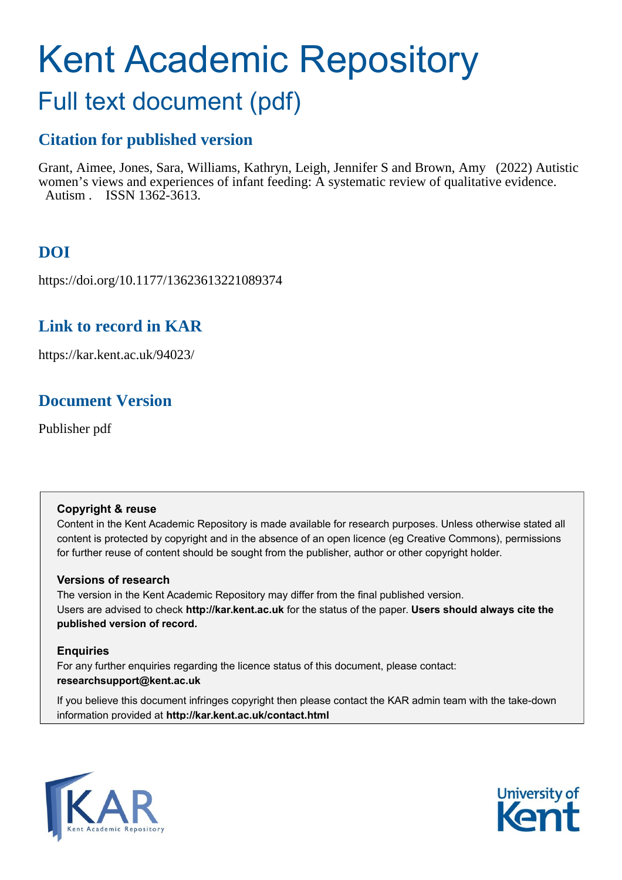# Kent Academic Repository

# Full text document (pdf)

# **Citation for published version**

Grant, Aimee, Jones, Sara, Williams, Kathryn, Leigh, Jennifer S and Brown, Amy (2022) Autistic women's views and experiences of infant feeding: A systematic review of qualitative evidence. Autism . ISSN 1362-3613.

# **DOI**

https://doi.org/10.1177/13623613221089374

# **Link to record in KAR**

https://kar.kent.ac.uk/94023/

# **Document Version**

Publisher pdf

# **Copyright & reuse**

Content in the Kent Academic Repository is made available for research purposes. Unless otherwise stated all content is protected by copyright and in the absence of an open licence (eg Creative Commons), permissions for further reuse of content should be sought from the publisher, author or other copyright holder.

# **Versions of research**

The version in the Kent Academic Repository may differ from the final published version. Users are advised to check **http://kar.kent.ac.uk** for the status of the paper. **Users should always cite the published version of record.**

# **Enquiries**

For any further enquiries regarding the licence status of this document, please contact: **researchsupport@kent.ac.uk**

If you believe this document infringes copyright then please contact the KAR admin team with the take-down information provided at **http://kar.kent.ac.uk/contact.html**



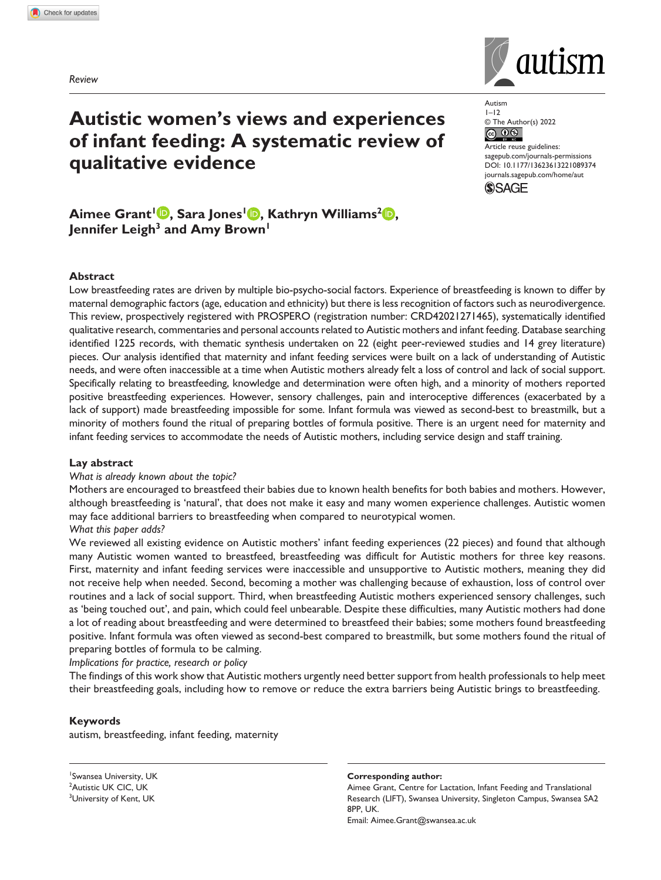*Review*



**Autistic women's views and experiences of infant feeding: A systematic review of qualitative evidence**

Autism  $1 - 12$ © The Author(s) 2022<br>
© 0 9

Article reuse guidelines: [sagepub.com/journals-permissions](https://uk.sagepub.com/en-gb/journals-permissions) DOI: 10.1177/13623613221089374 [journals.sagepub.com/home/aut](https://journals.sagepub.com/home/aut) **SAGE** 

**Aimee Grant<sup>1</sup> <b>D**, Sara Jones<sup>1</sup> **D**, Kathryn Williams<sup>2</sup> **D**, Jennifer Leigh<sup>3</sup> and Amy Brown<sup>1</sup>

#### **Abstract**

Low breastfeeding rates are driven by multiple bio-psycho-social factors. Experience of breastfeeding is known to differ by maternal demographic factors (age, education and ethnicity) but there is less recognition of factors such as neurodivergence. This review, prospectively registered with PROSPERO (registration number: CRD42021271465), systematically identified qualitative research, commentaries and personal accounts related to Autistic mothers and infant feeding. Database searching identified 1225 records, with thematic synthesis undertaken on 22 (eight peer-reviewed studies and 14 grey literature) pieces. Our analysis identified that maternity and infant feeding services were built on a lack of understanding of Autistic needs, and were often inaccessible at a time when Autistic mothers already felt a loss of control and lack of social support. Specifically relating to breastfeeding, knowledge and determination were often high, and a minority of mothers reported positive breastfeeding experiences. However, sensory challenges, pain and interoceptive differences (exacerbated by a lack of support) made breastfeeding impossible for some. Infant formula was viewed as second-best to breastmilk, but a minority of mothers found the ritual of preparing bottles of formula positive. There is an urgent need for maternity and infant feeding services to accommodate the needs of Autistic mothers, including service design and staff training.

#### **Lay abstract**

#### *What is already known about the topic?*

Mothers are encouraged to breastfeed their babies due to known health benefits for both babies and mothers. However, although breastfeeding is 'natural', that does not make it easy and many women experience challenges. Autistic women may face additional barriers to breastfeeding when compared to neurotypical women. *What this paper adds?*

We reviewed all existing evidence on Autistic mothers' infant feeding experiences (22 pieces) and found that although many Autistic women wanted to breastfeed, breastfeeding was difficult for Autistic mothers for three key reasons. First, maternity and infant feeding services were inaccessible and unsupportive to Autistic mothers, meaning they did not receive help when needed. Second, becoming a mother was challenging because of exhaustion, loss of control over routines and a lack of social support. Third, when breastfeeding Autistic mothers experienced sensory challenges, such as 'being touched out', and pain, which could feel unbearable. Despite these difficulties, many Autistic mothers had done a lot of reading about breastfeeding and were determined to breastfeed their babies; some mothers found breastfeeding positive. Infant formula was often viewed as second-best compared to breastmilk, but some mothers found the ritual of preparing bottles of formula to be calming.

#### *Implications for practice, research or policy*

The findings of this work show that Autistic mothers urgently need better support from health professionals to help meet their breastfeeding goals, including how to remove or reduce the extra barriers being Autistic brings to breastfeeding.

#### **Keywords**

autism, breastfeeding, infant feeding, maternity

1 Swansea University, UK <sup>2</sup>Autistic UK CIC, UK <sup>3</sup>University of Kent, UK

#### **Corresponding author:**

Aimee Grant, Centre for Lactation, Infant Feeding and Translational Research (LIFT), Swansea University, Singleton Campus, Swansea SA2 8PP, UK. Email: [Aimee.Grant@swansea.ac.uk](mailto:Aimee.Grant@swansea.ac.uk)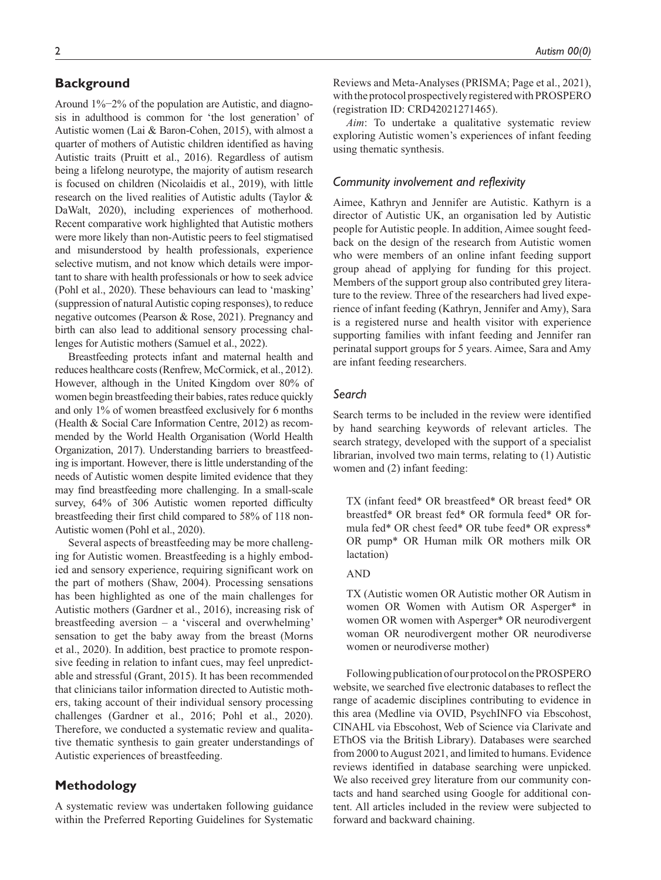## **Background**

Around 1%−2% of the population are Autistic, and diagnosis in adulthood is common for 'the lost generation' of Autistic women (Lai & Baron-Cohen, 2015), with almost a quarter of mothers of Autistic children identified as having Autistic traits (Pruitt et al., 2016). Regardless of autism being a lifelong neurotype, the majority of autism research is focused on children (Nicolaidis et al., 2019), with little research on the lived realities of Autistic adults (Taylor & DaWalt, 2020), including experiences of motherhood. Recent comparative work highlighted that Autistic mothers were more likely than non-Autistic peers to feel stigmatised and misunderstood by health professionals, experience selective mutism, and not know which details were important to share with health professionals or how to seek advice (Pohl et al., 2020). These behaviours can lead to 'masking' (suppression of natural Autistic coping responses), to reduce negative outcomes (Pearson & Rose, 2021). Pregnancy and birth can also lead to additional sensory processing challenges for Autistic mothers (Samuel et al., 2022).

Breastfeeding protects infant and maternal health and reduces healthcare costs (Renfrew, McCormick, et al., 2012). However, although in the United Kingdom over 80% of women begin breastfeeding their babies, rates reduce quickly and only 1% of women breastfeed exclusively for 6 months (Health & Social Care Information Centre, 2012) as recommended by the World Health Organisation (World Health Organization, 2017). Understanding barriers to breastfeeding is important. However, there is little understanding of the needs of Autistic women despite limited evidence that they may find breastfeeding more challenging. In a small-scale survey, 64% of 306 Autistic women reported difficulty breastfeeding their first child compared to 58% of 118 non-Autistic women (Pohl et al., 2020).

Several aspects of breastfeeding may be more challenging for Autistic women. Breastfeeding is a highly embodied and sensory experience, requiring significant work on the part of mothers (Shaw, 2004). Processing sensations has been highlighted as one of the main challenges for Autistic mothers (Gardner et al., 2016), increasing risk of breastfeeding aversion – a 'visceral and overwhelming' sensation to get the baby away from the breast (Morns et al., 2020). In addition, best practice to promote responsive feeding in relation to infant cues, may feel unpredictable and stressful (Grant, 2015). It has been recommended that clinicians tailor information directed to Autistic mothers, taking account of their individual sensory processing challenges (Gardner et al., 2016; Pohl et al., 2020). Therefore, we conducted a systematic review and qualitative thematic synthesis to gain greater understandings of Autistic experiences of breastfeeding.

## **Methodology**

A systematic review was undertaken following guidance within the Preferred Reporting Guidelines for Systematic Reviews and Meta-Analyses (PRISMA; Page et al., 2021), with the protocol prospectively registered with PROSPERO (registration ID: CRD42021271465).

*Aim*: To undertake a qualitative systematic review exploring Autistic women's experiences of infant feeding using thematic synthesis.

## *Community involvement and reflexivity*

Aimee, Kathryn and Jennifer are Autistic. Kathyrn is a director of Autistic UK, an organisation led by Autistic people for Autistic people. In addition, Aimee sought feedback on the design of the research from Autistic women who were members of an online infant feeding support group ahead of applying for funding for this project. Members of the support group also contributed grey literature to the review. Three of the researchers had lived experience of infant feeding (Kathryn, Jennifer and Amy), Sara is a registered nurse and health visitor with experience supporting families with infant feeding and Jennifer ran perinatal support groups for 5 years. Aimee, Sara and Amy are infant feeding researchers.

#### *Search*

Search terms to be included in the review were identified by hand searching keywords of relevant articles. The search strategy, developed with the support of a specialist librarian, involved two main terms, relating to (1) Autistic women and (2) infant feeding:

TX (infant feed\* OR breastfeed\* OR breast feed\* OR breastfed\* OR breast fed\* OR formula feed\* OR formula fed\* OR chest feed\* OR tube feed\* OR express\* OR pump\* OR Human milk OR mothers milk OR lactation)

#### AND

TX (Autistic women OR Autistic mother OR Autism in women OR Women with Autism OR Asperger\* in women OR women with Asperger\* OR neurodivergent woman OR neurodivergent mother OR neurodiverse women or neurodiverse mother)

Following publication of our protocol on the PROSPERO website, we searched five electronic databases to reflect the range of academic disciplines contributing to evidence in this area (Medline via OVID, PsychINFO via Ebscohost, CINAHL via Ebscohost, Web of Science via Clarivate and EThOS via the British Library). Databases were searched from 2000 to August 2021, and limited to humans. Evidence reviews identified in database searching were unpicked. We also received grey literature from our community contacts and hand searched using Google for additional content. All articles included in the review were subjected to forward and backward chaining.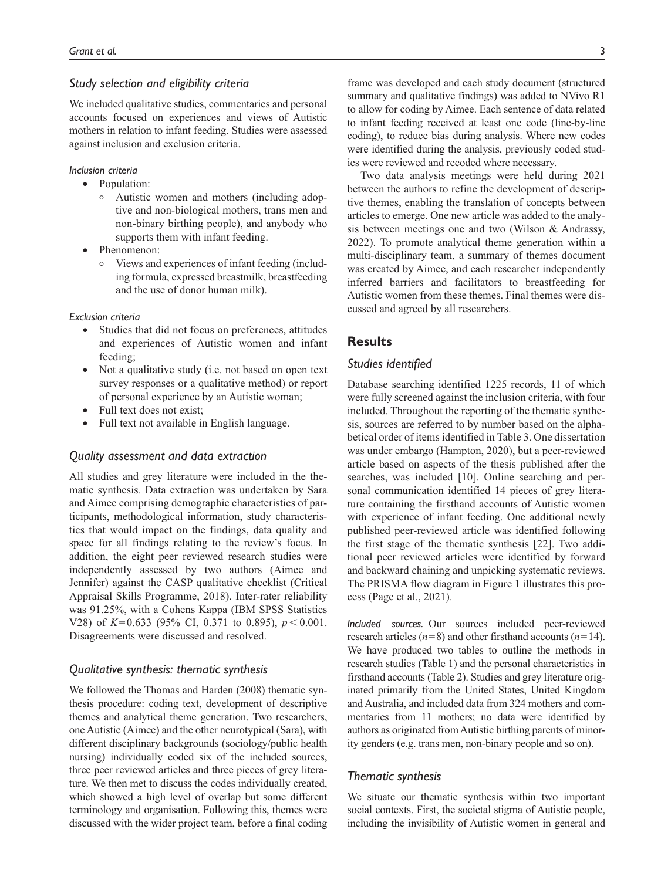#### *Study selection and eligibility criteria*

We included qualitative studies, commentaries and personal accounts focused on experiences and views of Autistic mothers in relation to infant feeding. Studies were assessed against inclusion and exclusion criteria.

*Inclusion criteria*

- Population:
	- <sup>|</sup> Autistic women and mothers (including adoptive and non-biological mothers, trans men and non-binary birthing people), and anybody who supports them with infant feeding.
- Phenomenon:
	- <sup>|</sup> Views and experiences of infant feeding (including formula, expressed breastmilk, breastfeeding and the use of donor human milk).

#### *Exclusion criteria*

- Studies that did not focus on preferences, attitudes and experiences of Autistic women and infant feeding;
- Not a qualitative study (i.e. not based on open text survey responses or a qualitative method) or report of personal experience by an Autistic woman;
- Full text does not exist;
- Full text not available in English language.

#### *Quality assessment and data extraction*

All studies and grey literature were included in the thematic synthesis. Data extraction was undertaken by Sara and Aimee comprising demographic characteristics of participants, methodological information, study characteristics that would impact on the findings, data quality and space for all findings relating to the review's focus. In addition, the eight peer reviewed research studies were independently assessed by two authors (Aimee and Jennifer) against the CASP qualitative checklist (Critical Appraisal Skills Programme, 2018). Inter-rater reliability was 91.25%, with a Cohens Kappa (IBM SPSS Statistics V28) of *K*=0.633 (95% CI, 0.371 to 0.895), *p*<0.001. Disagreements were discussed and resolved.

#### *Qualitative synthesis: thematic synthesis*

We followed the Thomas and Harden (2008) thematic synthesis procedure: coding text, development of descriptive themes and analytical theme generation. Two researchers, one Autistic (Aimee) and the other neurotypical (Sara), with different disciplinary backgrounds (sociology/public health nursing) individually coded six of the included sources, three peer reviewed articles and three pieces of grey literature. We then met to discuss the codes individually created, which showed a high level of overlap but some different terminology and organisation. Following this, themes were discussed with the wider project team, before a final coding frame was developed and each study document (structured summary and qualitative findings) was added to NVivo R1 to allow for coding by Aimee. Each sentence of data related to infant feeding received at least one code (line-by-line coding), to reduce bias during analysis. Where new codes were identified during the analysis, previously coded studies were reviewed and recoded where necessary.

Two data analysis meetings were held during 2021 between the authors to refine the development of descriptive themes, enabling the translation of concepts between articles to emerge. One new article was added to the analysis between meetings one and two (Wilson & Andrassy, 2022). To promote analytical theme generation within a multi-disciplinary team, a summary of themes document was created by Aimee, and each researcher independently inferred barriers and facilitators to breastfeeding for Autistic women from these themes. Final themes were discussed and agreed by all researchers.

#### **Results**

#### *Studies identified*

Database searching identified 1225 records, 11 of which were fully screened against the inclusion criteria, with four included. Throughout the reporting of the thematic synthesis, sources are referred to by number based on the alphabetical order of items identified in Table 3. One dissertation was under embargo (Hampton, 2020), but a peer-reviewed article based on aspects of the thesis published after the searches, was included [10]. Online searching and personal communication identified 14 pieces of grey literature containing the firsthand accounts of Autistic women with experience of infant feeding. One additional newly published peer-reviewed article was identified following the first stage of the thematic synthesis [22]. Two additional peer reviewed articles were identified by forward and backward chaining and unpicking systematic reviews. The PRISMA flow diagram in Figure 1 illustrates this process (Page et al., 2021).

*Included sources.* Our sources included peer-reviewed research articles (*n*=8) and other firsthand accounts (*n*=14). We have produced two tables to outline the methods in research studies (Table 1) and the personal characteristics in firsthand accounts (Table 2). Studies and grey literature originated primarily from the United States, United Kingdom and Australia, and included data from 324 mothers and commentaries from 11 mothers; no data were identified by authors as originated from Autistic birthing parents of minority genders (e.g. trans men, non-binary people and so on).

#### *Thematic synthesis*

We situate our thematic synthesis within two important social contexts. First, the societal stigma of Autistic people, including the invisibility of Autistic women in general and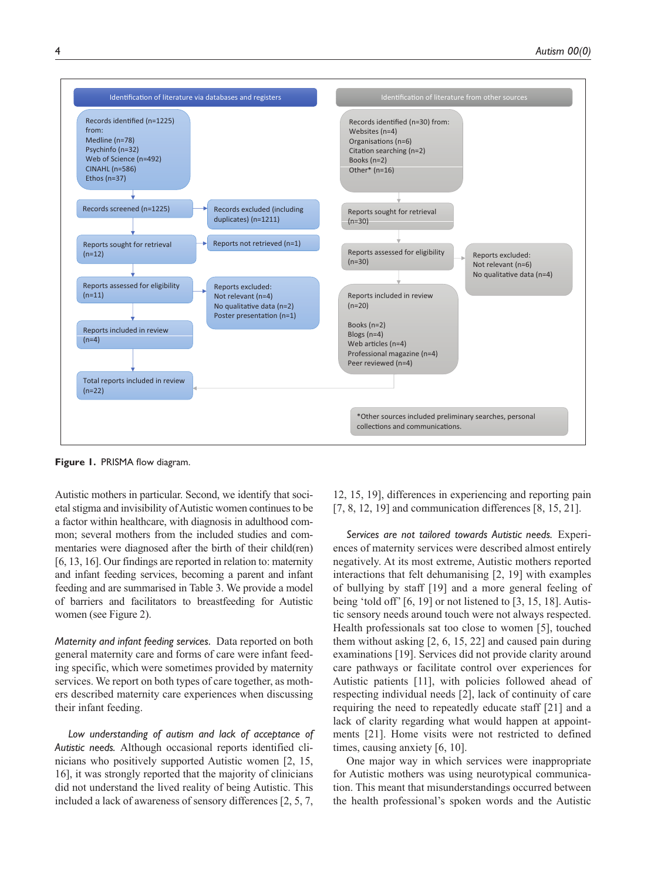

**Figure 1.** PRISMA flow diagram.

Autistic mothers in particular. Second, we identify that societal stigma and invisibility of Autistic women continues to be a factor within healthcare, with diagnosis in adulthood common; several mothers from the included studies and commentaries were diagnosed after the birth of their child(ren) [6, 13, 16]. Our findings are reported in relation to: maternity and infant feeding services, becoming a parent and infant feeding and are summarised in Table 3. We provide a model of barriers and facilitators to breastfeeding for Autistic women (see Figure 2).

*Maternity and infant feeding services.* Data reported on both general maternity care and forms of care were infant feeding specific, which were sometimes provided by maternity services. We report on both types of care together, as mothers described maternity care experiences when discussing their infant feeding.

*Low understanding of autism and lack of acceptance of Autistic needs.* Although occasional reports identified clinicians who positively supported Autistic women [2, 15, 16], it was strongly reported that the majority of clinicians did not understand the lived reality of being Autistic. This included a lack of awareness of sensory differences [2, 5, 7,

12, 15, 19], differences in experiencing and reporting pain [7, 8, 12, 19] and communication differences [8, 15, 21].

*Services are not tailored towards Autistic needs.* Experiences of maternity services were described almost entirely negatively. At its most extreme, Autistic mothers reported interactions that felt dehumanising [2, 19] with examples of bullying by staff [19] and a more general feeling of being 'told off' [6, 19] or not listened to [3, 15, 18]. Autistic sensory needs around touch were not always respected. Health professionals sat too close to women [5], touched them without asking [2, 6, 15, 22] and caused pain during examinations [19]. Services did not provide clarity around care pathways or facilitate control over experiences for Autistic patients [11], with policies followed ahead of respecting individual needs [2], lack of continuity of care requiring the need to repeatedly educate staff [21] and a lack of clarity regarding what would happen at appointments [21]. Home visits were not restricted to defined times, causing anxiety [6, 10].

One major way in which services were inappropriate for Autistic mothers was using neurotypical communication. This meant that misunderstandings occurred between the health professional's spoken words and the Autistic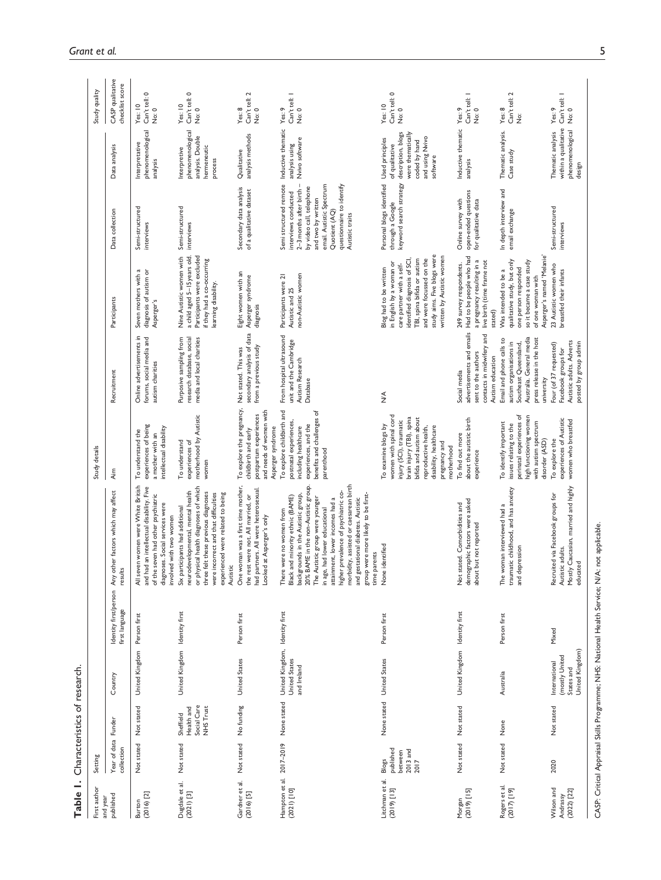| First author                              | Setting                                           |                                                     |                                                                       |                                         |                                                                                                                                                                                                                                                                                                                                                                                                                                    | Study details                                                                                                                                                                                                     |                                                                                                                                                     |                                                                                                                                                                                                                                        |                                                                                                                                                                                                                               |                                                                                                           | Study quality                                       |
|-------------------------------------------|---------------------------------------------------|-----------------------------------------------------|-----------------------------------------------------------------------|-----------------------------------------|------------------------------------------------------------------------------------------------------------------------------------------------------------------------------------------------------------------------------------------------------------------------------------------------------------------------------------------------------------------------------------------------------------------------------------|-------------------------------------------------------------------------------------------------------------------------------------------------------------------------------------------------------------------|-----------------------------------------------------------------------------------------------------------------------------------------------------|----------------------------------------------------------------------------------------------------------------------------------------------------------------------------------------------------------------------------------------|-------------------------------------------------------------------------------------------------------------------------------------------------------------------------------------------------------------------------------|-----------------------------------------------------------------------------------------------------------|-----------------------------------------------------|
| published<br>and year                     | Year of data Funder<br>collection                 |                                                     | Country                                                               | Identity first/person<br>first language | Any other factors which may affect<br>results                                                                                                                                                                                                                                                                                                                                                                                      | <b>Aim</b>                                                                                                                                                                                                        | Recruitment                                                                                                                                         | Participants                                                                                                                                                                                                                           | Data collection                                                                                                                                                                                                               | Data analysis                                                                                             | CASP qualitative<br>checklist score                 |
| $(2016)$ [2]<br>Burton                    | Not stated                                        | Not stated                                          | United Kingdom                                                        | Person first                            | All seven women were White British<br>and had an intellectual disability. Five<br>of the seven had other psychiatric<br>diagnoses. Social services were<br>involved with two women                                                                                                                                                                                                                                                 | experiences of being<br>intellectual disability<br>To understand the<br>a mother with an                                                                                                                          | Online advertisements in<br>forums, social media and<br>autism charities                                                                            | Seven mothers with a<br>diagnosis of autism or<br>Asperger's                                                                                                                                                                           | Semi-structured<br>interviews                                                                                                                                                                                                 | phenomenological<br>Interpretative<br>analysis                                                            | Can't tell: 0<br>Yes: 10<br>No: 0                   |
| Dugdale et al.<br>$(2021)$ [3]            | Not stated                                        | Social Care<br>NHS Trust<br>Health and<br>Sheffield | United Kingdom Identity first                                         |                                         | or physical health diagnoses of which<br>three felt these previous diagnoses<br>neurodevelopmental, mental health<br>were incorrect and that difficulties<br>experienced were related to being<br>Six participants had additional<br>Autistic                                                                                                                                                                                      | motherhood by Autistic<br>To understand<br>experiences of<br>women                                                                                                                                                | Purposive sampling from<br>research database, social<br>media and local charities                                                                   | a child aged 5-15 years old.<br>Nine Autistic women with<br>Participants were excluded<br>if they had a co-occurring<br>learning disability.                                                                                           | Semi-structured<br>interviews                                                                                                                                                                                                 | phenomenological<br>analysis. Double<br>hermeneutic<br>Interpretive<br>process                            | Can't tell: 0<br>Yes: 10<br>No: 0                   |
| Gardner et al.<br>$(2016)$ [5]            | Not stated                                        | No funding                                          | United States                                                         | Person first                            | One woman was a first time mother,<br>had partners. All were heterosexual<br>the rest were not. All married, or<br>Looked at Asperger's only                                                                                                                                                                                                                                                                                       | To explore the pregnancy,<br>and needs of women with<br>postpartum experiences<br>Asperger syndrome<br>childbirth and early                                                                                       | secondary analysis of data<br>from a previous study<br>Not stated. This was                                                                         | Eight women with an<br>Asperger syndrome<br>diagnosis                                                                                                                                                                                  | Secondary data analysis<br>of a qualitative dataset                                                                                                                                                                           | analysis methods<br>Qualitative                                                                           | Can't tell: 2<br>Yes: 8<br>No: 0                    |
| Hampton et al. 2017-2019<br>$[01]$ (1202) |                                                   | None stated                                         | United Kingdom, Identity first<br><b>United States</b><br>and Ireland |                                         | 20% BAME in the non-Autistic group.<br>morbidity, assisted or caesarean birth<br>higher prevalence of psychiatric co-<br>were more likely to be first-<br>backgrounds in the Autistic group,<br>Black and minority ethnic (BAME)<br>The Autistic group were younger<br>attainment, lower incomes had a<br>and gestational diabetes. Autistic<br>in age, had lower educational<br>There were no women from<br>time parents<br>dno.8 | To explore childbirth and<br>benefits and challenges of<br>postnatal experiences,<br>experiences, and the<br>including healthcare<br>parenthood                                                                   | From hospital ultrasound<br>unit and the Cambridge<br>Autism Research<br>Database                                                                   | non-Autistic women<br>Participants were 21<br>Autistic and 25                                                                                                                                                                          | Semi structured remote<br>$2-3$ months after birth $-$<br>email. Autistic Spectrum<br>questionnaire to identify<br>by video call, telephone<br>interviews conducted<br>and two by written<br>Quotient (AQ)<br>Autistic traits | Inductive thematic<br>Nvivo software<br>analysis using                                                    | Can't tell: I<br>Yes: 9<br>No: 0                    |
| Litchman et al.<br>$(2019)$ [13]          | published<br>2013 and<br>2017<br>between<br>Blogs |                                                     | None stated United States                                             | Person first                            | None identified                                                                                                                                                                                                                                                                                                                                                                                                                    | women with spinal cord<br>brain injury (TBI), spina<br>bifida and autism about<br>injury (SCI), traumatic<br>To examine blogs by<br>disability, healthcare<br>reproductive health,<br>pregnancy and<br>motherhood | $\frac{4}{2}$                                                                                                                                       | study aims. Five blogs were<br>written by Autistic women<br>TBI, spina bifida or autism<br>and were focussed on the<br>identified diagnosis of SCI,<br>in English by a woman or<br>care partner with a self-<br>Blog had to be written | Personal blogs identified Used principles<br>keyword search strategy<br>through a Google                                                                                                                                      | description, blogs<br>were thematically<br>and using Nvivo<br>coded by hand<br>of qualitative<br>software | Can't tell: 0<br>Yes. 10<br>No: 0                   |
| $[15]$ (2019)<br>Morgan                   | Not stated                                        | Not stated                                          | United Kingdom Identity first                                         |                                         | demographic factors were asked<br>Not stated. Comorbidities and<br>but not reported<br>about                                                                                                                                                                                                                                                                                                                                       | about the autistic birth<br>To find out more<br>experience                                                                                                                                                        | contacts in midwifery and<br>sent to the authors<br>Autism education<br>Social media                                                                | advertisements and emails Had to be people who had<br>a pregnancy resulting in a<br>live birth (time frame not<br>249 survey respondents.<br>stated)                                                                                   | open-ended questions<br>Online survey with<br>for qualitative data                                                                                                                                                            | Inductive thematic Yes: 9<br>analysis                                                                     | Can't tell: I<br>No: 0                              |
| Rogers et al.<br>[61] (1102)              | Not stated                                        | None                                                | Australia                                                             | Person first                            | traumatic childhood, and has anxiety<br>The woman interviewed had a<br>pression<br>and de                                                                                                                                                                                                                                                                                                                                          | perinatal experiences of<br>high functioning women<br>with autism spectrum<br>To identify important<br>issues relating to the<br>disorder (ASD)                                                                   | Australia. General media<br>Email and phone calls to<br>press release in the host<br>autism organisations in<br>Southeast Queensland,<br>university | Asperger's named 'Melanie'<br>qualitative study, but only<br>so it became a case study<br>one person responded<br>Was intended to be a<br>of one woman with                                                                            | In depth interview and<br>email exchange                                                                                                                                                                                      | Thematic analysis.<br>Case study                                                                          | Can't tell: 2<br>Yes: 8<br>$\frac{\ddot{\circ}}{2}$ |
| Wilson and<br>$(2022)$ $[22]$<br>Andrassy | 2020                                              | Not stated                                          | United Kingdom)<br>(mostly United<br>International<br>States and      | Mixed                                   | Caucasian, married and highly<br>Recruited via Facebook groups for<br>Autistic adults.<br>educated<br>Mostly                                                                                                                                                                                                                                                                                                                       | experiences of Autistic<br>women who breastfed<br>To explore the                                                                                                                                                  | Autistic adults. Adverts<br>posted by group admin<br>Four (of 37 requested)<br>Facebook groups for                                                  | 23 Autistic women who<br>breastfed their infants                                                                                                                                                                                       | Semi-structured<br>interviews                                                                                                                                                                                                 | within a qualitative<br>phenomenological<br>Thematic analysis<br>design                                   | Can't tell: I<br>Yes: 9<br>No: 0                    |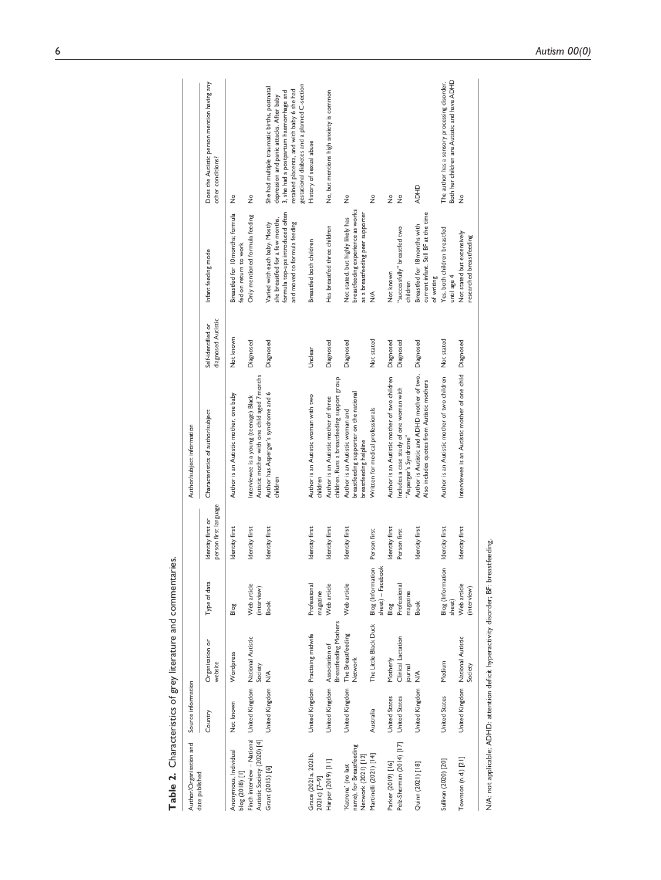| Table 2. Characteristics of grey literature and commentaries.                              |                               |                                             |                                        |                                            |                                                                                                      |                                          |                                                                                                                                      |                                                                                                                                                                                                                                   |
|--------------------------------------------------------------------------------------------|-------------------------------|---------------------------------------------|----------------------------------------|--------------------------------------------|------------------------------------------------------------------------------------------------------|------------------------------------------|--------------------------------------------------------------------------------------------------------------------------------------|-----------------------------------------------------------------------------------------------------------------------------------------------------------------------------------------------------------------------------------|
| Author/Organisation and<br>date published                                                  | Source information            |                                             |                                        |                                            | Author/subject information                                                                           |                                          |                                                                                                                                      |                                                                                                                                                                                                                                   |
|                                                                                            | Country                       | Organisation or<br>website                  | Type of data                           | person first language<br>Identity first or | Characteristics of author/subject                                                                    | diagnosed Autistic<br>Self-identified or | Infant feeding mode                                                                                                                  | Does the Autistic person mention having any<br>other conditions?                                                                                                                                                                  |
| Anonymous, Individual<br>blog (2018) [1]                                                   | Not known                     | Wordpress                                   | Blog                                   | Identity first                             | Author is an Autistic mother, one baby                                                               | Not known                                | Breastfed for 10 months; formula<br>fed on return to work                                                                            | ż                                                                                                                                                                                                                                 |
| Finch interview - National United Kingdom National Autistic<br>Autistic Society (2020) [4] |                               | Society                                     | Web article<br>(interview)             | Identity first                             | Autistic mother with one child aged 7 months<br>Interviewee is a young (teenage) Black               | Diagnosed                                | Only mentioned formula feeding                                                                                                       | ż                                                                                                                                                                                                                                 |
| Grant (2015) [6]                                                                           | United Kingdom                | $\frac{1}{2}$                               | <b>Book</b>                            | Identity first                             | Author has Asperger's syndrome and 6<br>children                                                     | Diagnosed                                | formula top-ups introduced often<br>she breastfed for a few months,<br>and moved to formula feeding<br>Varied with each baby. Mostly | gestational diabetes and a planned C-section<br>She had multiple traumatic births, postnatal<br>retained placenta, and with baby 6 she had<br>3, she had a postpartum haemorrhage and<br>depression and panic attacks. After baby |
| Grace (2021a, 2021b,<br>2021c) [7-9]                                                       |                               | United Kingdom Practising midwife           | Professional<br>magazine               | Identity first                             | Author is an Autistic woman with two<br>children                                                     | Unclear                                  | Breastfed both children                                                                                                              | History of sexual abuse                                                                                                                                                                                                           |
| Harper (2019) [11]                                                                         | United Kingdom Association of | Breastfeeding Mothers                       | Web article                            | Identity first                             | children. Runs a breastfeeding support group<br>Author is an Autistic mother of three                | Diagnosed                                | Has breastfed three children                                                                                                         | No, but mentions high anxiety is common                                                                                                                                                                                           |
| name), for Breastfeeding<br>Network (2021) [12]<br>Katrona' (no last                       | United Kingdom                | The Breastfeeding<br><b>Network</b>         | Web article                            | Identity first                             | breastfeeding supporter on the national<br>Author is an Autistic woman and<br>breastfeeding helpline | Diagnosed                                | breastfeeding experience as works<br>as a breastfeeding peer supporter<br>Not stated, but highly likely has                          | ż                                                                                                                                                                                                                                 |
| Martinelli (2021) [14]                                                                     | Australia                     | The Little Black Duck                       | Blog (Information<br>sheet) - Facebook | Person first                               | Written for medical professionals                                                                    | Not stated                               | $\frac{4}{2}$                                                                                                                        | $\frac{1}{2}$                                                                                                                                                                                                                     |
| Parker (2019) [16]                                                                         | <b>United States</b>          | Motherly                                    | Blog                                   | Identity first                             | Author is an Autistic mother of two children                                                         | Diagnosed                                | Not known                                                                                                                            | ż                                                                                                                                                                                                                                 |
| Pelz-Sherman (2014) [17]                                                                   | <b>United States</b>          | Clinical Lactation<br>journal               | Professional<br>magazine               | Person first                               | Includes a case study of one woman with<br>"Asperger's Syndrome"                                     | Diagnosed                                | "successfully" breastfed two<br>children                                                                                             | $\frac{1}{2}$                                                                                                                                                                                                                     |
| Quinn (2021) [18]                                                                          | United Kingdom                | $\frac{1}{2}$                               | <b>Book</b>                            | Identity first                             | Author is Autistic and ADHD mother of two.<br>Also includes quotes from Autistic mothers             | Diagnosed                                | current infant. Still BF at the time<br>Breastfed for 18 months with<br>of writing                                                   | <b>ADHD</b>                                                                                                                                                                                                                       |
| Sullivan (2020) [20]                                                                       | United States                 | Medium                                      | Blog (Information<br>sheet)            | Identity first                             | Author is an Autistic mother of two children                                                         | Not stated                               | Yes, both children breastfed<br>until age 4                                                                                          | Both her children are Autistic and have ADHD<br>The author has a sensory processing disorder.                                                                                                                                     |
| Townson (n.d.) [21]                                                                        |                               | United Kingdom National Autistic<br>Society | Web article<br>(interview)             | Identity first                             | Interviewee is an Autistic mother of one child Diagnosed                                             |                                          | Not stated but extensively<br>researched breastfeeding                                                                               | $\frac{1}{2}$                                                                                                                                                                                                                     |
| N/A: not applicable; ADHD: attention deficit hyperactivity disorder; BF: breastfeeding.    |                               |                                             |                                        |                                            |                                                                                                      |                                          |                                                                                                                                      |                                                                                                                                                                                                                                   |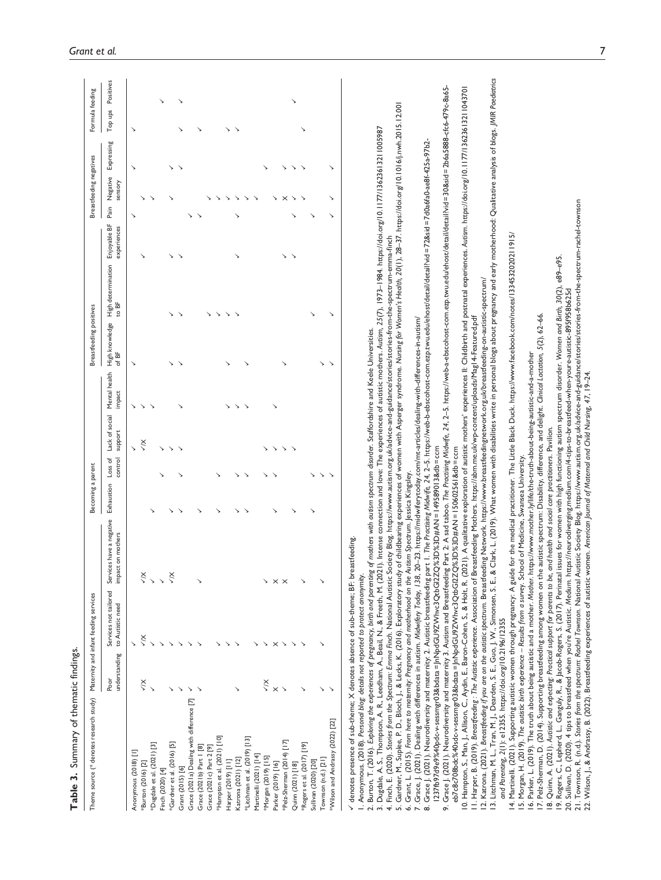| Summary of thematic findings<br>Table 3.                                                                                                                                                                                                                                                                                                                                                                                                                                                                                                                                                                                                                                 |                       |                                           |                                                                                       |                   |                    |                           |                         |                         |                                                                                                                                                  |                             |                             |            |                      |
|--------------------------------------------------------------------------------------------------------------------------------------------------------------------------------------------------------------------------------------------------------------------------------------------------------------------------------------------------------------------------------------------------------------------------------------------------------------------------------------------------------------------------------------------------------------------------------------------------------------------------------------------------------------------------|-----------------------|-------------------------------------------|---------------------------------------------------------------------------------------|-------------------|--------------------|---------------------------|-------------------------|-------------------------|--------------------------------------------------------------------------------------------------------------------------------------------------|-----------------------------|-----------------------------|------------|----------------------|
| Theme source (* denotes research study)                                                                                                                                                                                                                                                                                                                                                                                                                                                                                                                                                                                                                                  |                       | Maternity and infant feeding services     |                                                                                       | Becoming a parent |                    |                           |                         | Breastfeeding positives |                                                                                                                                                  |                             | Breastfeeding negatives     |            | Formula feeding      |
|                                                                                                                                                                                                                                                                                                                                                                                                                                                                                                                                                                                                                                                                          | understanding<br>Poor | Services not tailored<br>to Autistic need | ices have a negative<br>impact on mothers<br>Servi                                    | Exhaustion        | Loss of<br>control | Lack of social<br>support | Mental health<br>impact | High knowledge<br>of BF | High determination<br>to BF                                                                                                                      | Enjoyable BF<br>experiences | Negative<br>sensory<br>Pain | Expressing | Positives<br>Top ups |
| Anonymous (2018) [1]                                                                                                                                                                                                                                                                                                                                                                                                                                                                                                                                                                                                                                                     |                       |                                           |                                                                                       |                   |                    |                           | ↘                       | ↘                       |                                                                                                                                                  |                             | ゝ                           | ゝ          | ゝ                    |
| *Burton (2016) [2]                                                                                                                                                                                                                                                                                                                                                                                                                                                                                                                                                                                                                                                       | Ķ                     | $\lesssim$                                | $\frac{1}{2}$                                                                         |                   |                    | $\times$                  | ↘                       |                         |                                                                                                                                                  | ↘                           | ↘                           |            |                      |
| *Dugdale et al. (2021) [3]                                                                                                                                                                                                                                                                                                                                                                                                                                                                                                                                                                                                                                               |                       |                                           |                                                                                       |                   |                    |                           |                         |                         |                                                                                                                                                  |                             |                             |            |                      |
| Finch (2020) [4]                                                                                                                                                                                                                                                                                                                                                                                                                                                                                                                                                                                                                                                         |                       |                                           |                                                                                       |                   |                    |                           |                         |                         |                                                                                                                                                  |                             |                             |            |                      |
| *Gardner et al. (2016) [5]                                                                                                                                                                                                                                                                                                                                                                                                                                                                                                                                                                                                                                               |                       |                                           | $\frac{1}{2}$                                                                         |                   |                    |                           |                         | ↘                       | ↘                                                                                                                                                | ↘                           | ゝ                           | ↘          |                      |
| Grant (2015) [6]                                                                                                                                                                                                                                                                                                                                                                                                                                                                                                                                                                                                                                                         |                       |                                           |                                                                                       |                   |                    |                           |                         | ↘                       |                                                                                                                                                  |                             |                             |            |                      |
| Grace (2021a) Dealing with difference [7]                                                                                                                                                                                                                                                                                                                                                                                                                                                                                                                                                                                                                                |                       |                                           |                                                                                       |                   |                    |                           |                         |                         |                                                                                                                                                  |                             | ↘                           |            |                      |
| Grace (2021b) Part 1 [8]                                                                                                                                                                                                                                                                                                                                                                                                                                                                                                                                                                                                                                                 |                       |                                           |                                                                                       |                   |                    |                           |                         |                         |                                                                                                                                                  |                             |                             |            |                      |
| Grace (2021c) Part 2 [9]                                                                                                                                                                                                                                                                                                                                                                                                                                                                                                                                                                                                                                                 |                       |                                           |                                                                                       |                   |                    |                           |                         |                         | ↘                                                                                                                                                |                             |                             |            |                      |
| *Hampton et al. (2021) [10]                                                                                                                                                                                                                                                                                                                                                                                                                                                                                                                                                                                                                                              |                       |                                           |                                                                                       | ↘                 |                    |                           |                         |                         | ↘                                                                                                                                                |                             |                             |            |                      |
| Harper (2019) [11]                                                                                                                                                                                                                                                                                                                                                                                                                                                                                                                                                                                                                                                       |                       |                                           |                                                                                       |                   |                    |                           | ↘                       |                         | ↘                                                                                                                                                |                             |                             |            | ↘                    |
| Katrona (2021) [12]                                                                                                                                                                                                                                                                                                                                                                                                                                                                                                                                                                                                                                                      |                       |                                           |                                                                                       | ↘                 |                    |                           | ↘                       |                         |                                                                                                                                                  |                             |                             |            | ↘                    |
| *Litchman et al. (2019) [13]                                                                                                                                                                                                                                                                                                                                                                                                                                                                                                                                                                                                                                             |                       |                                           |                                                                                       | ゝ<br>↘            |                    |                           | $\checkmark$            |                         |                                                                                                                                                  |                             | ↘                           |            |                      |
| Martinelli (2021) [14]                                                                                                                                                                                                                                                                                                                                                                                                                                                                                                                                                                                                                                                   |                       |                                           |                                                                                       |                   |                    |                           |                         |                         |                                                                                                                                                  |                             |                             |            |                      |
| *Morgan (2019) [15]                                                                                                                                                                                                                                                                                                                                                                                                                                                                                                                                                                                                                                                      | Š                     |                                           |                                                                                       |                   |                    |                           |                         |                         |                                                                                                                                                  |                             |                             |            |                      |
| Parker (2019) [16]                                                                                                                                                                                                                                                                                                                                                                                                                                                                                                                                                                                                                                                       |                       |                                           |                                                                                       | ↘                 | ↘                  |                           |                         |                         |                                                                                                                                                  |                             | ↘                           |            |                      |
| *Pelz-Sherman (2014) [17]                                                                                                                                                                                                                                                                                                                                                                                                                                                                                                                                                                                                                                                |                       |                                           |                                                                                       |                   | $\checkmark$       |                           |                         |                         |                                                                                                                                                  | ↘                           | $\times$                    |            |                      |
| Quinn (2021) [18]                                                                                                                                                                                                                                                                                                                                                                                                                                                                                                                                                                                                                                                        |                       |                                           |                                                                                       |                   | $\checkmark$       |                           |                         |                         |                                                                                                                                                  | $\checkmark$                | ↘                           |            |                      |
| *Rogers et al. (2017) [19]                                                                                                                                                                                                                                                                                                                                                                                                                                                                                                                                                                                                                                               |                       |                                           |                                                                                       |                   |                    |                           |                         |                         |                                                                                                                                                  |                             |                             |            |                      |
| Sullivan (2020) [20]                                                                                                                                                                                                                                                                                                                                                                                                                                                                                                                                                                                                                                                     |                       |                                           |                                                                                       | ↘                 |                    |                           |                         |                         | ↘                                                                                                                                                |                             |                             |            |                      |
| Townson (n.d.) [21]                                                                                                                                                                                                                                                                                                                                                                                                                                                                                                                                                                                                                                                      |                       |                                           |                                                                                       | ↘                 |                    |                           |                         | ↘                       |                                                                                                                                                  |                             |                             |            |                      |
| *Wilson and Andrassy (2022) [22]                                                                                                                                                                                                                                                                                                                                                                                                                                                                                                                                                                                                                                         |                       |                                           |                                                                                       | $\checkmark$      |                    |                           |                         | $\checkmark$            | ↘                                                                                                                                                |                             | ↘<br>ゝ                      | ↘          |                      |
|                                                                                                                                                                                                                                                                                                                                                                                                                                                                                                                                                                                                                                                                          |                       |                                           |                                                                                       |                   |                    |                           |                         |                         |                                                                                                                                                  |                             |                             |            |                      |
| denotes presence of sub-theme; X denotes absence of sub-theme; BF: breastfeeding<br>Anonymous. (2018). Personal blog: details not reported to protect anonymity.                                                                                                                                                                                                                                                                                                                                                                                                                                                                                                         |                       |                                           |                                                                                       |                   |                    |                           |                         |                         |                                                                                                                                                  |                             |                             |            |                      |
|                                                                                                                                                                                                                                                                                                                                                                                                                                                                                                                                                                                                                                                                          |                       |                                           |                                                                                       |                   |                    |                           |                         |                         |                                                                                                                                                  |                             |                             |            |                      |
| 3. Dugdale, A. S., Thompson, A. R., Leedham, A., Beail, N., & Freeth, M. (2021). Intense connection and love: The experiences of autistic mochers. Autism, 25(7), 1973–1984. https://doi.org/10.1177/13623613211005987<br>Finch, E. (2020). Stories from the Spectrum: Emma Finch. National Autistic Society Blog. https://www.autism.org.uk/advice-and-guidance/stories/stories-from-the-spectrum-emma-finch<br>Burton, T. (2016). Exploring the experiences of pregnancy, birth and parenting of mothers with autism spectrum disorder. Staffordshire and Keele Universities.<br>5. Gardner, M., Suplee, P. D., Bloch, J., & Lecks, K. (2016). Exploratory study<br>4. |                       |                                           |                                                                                       |                   |                    |                           |                         |                         | of childbearing experiences of women with Asperger syndrome. Nursing for Women's Health, 20(1), 28-37. https://doi.org/10.1016/j.nwh.2015.12.001 |                             |                             |            |                      |
| 6. Grant, L. (2015). From here to matemity: Pregnancy and motherhood on the Autism Spectrum. Jessica Kingsley.                                                                                                                                                                                                                                                                                                                                                                                                                                                                                                                                                           |                       |                                           |                                                                                       |                   |                    |                           |                         |                         |                                                                                                                                                  |                             |                             |            |                      |
| 8. Grace J. (2021). Neurodiversity and maternity: 2. Autistic breastfeeding part 1. The Proctsing Midwife, 24, 2–5. https://web-bebscohost-com.exp.twu.edu/eho.st/detail/detail/id= 72&sid=7d0a6fa0-ae8f-425a-97b2<br>.Grace, J. (2021). Dealing with differences in autism. Midwifery Today, 138,                                                                                                                                                                                                                                                                                                                                                                       |                       |                                           | 20-23. https://midwiferytoday.com/mt-articles/dealing-with-differences-in-autism/     |                   |                    |                           |                         |                         |                                                                                                                                                  |                             |                             |            |                      |
| 1237fb97d9e9%40pdc-v-sessmgr03&bdata=JnNpdGU9ZWhvc3QtbGl2ZQ%3D%3D#AN=149589013&db=ccm                                                                                                                                                                                                                                                                                                                                                                                                                                                                                                                                                                                    |                       |                                           |                                                                                       |                   |                    |                           |                         |                         |                                                                                                                                                  |                             |                             |            |                      |
| 9. Grace J. (2021). Neurodiversity and maternity 3. Autism and Breastfeeding Part 2: A sad taboo. The Proctising Midwife, 24, 2-5. https://web-a-ebscohnst:-om.ezp.twu.edu/ehost/detail/detail/vid=30&a5888-cfc6-479c-8a65-                                                                                                                                                                                                                                                                                                                                                                                                                                              |                       |                                           |                                                                                       |                   |                    |                           |                         |                         |                                                                                                                                                  |                             |                             |            |                      |
| eb7c8c708bdc%40sdc-v-sessmgr03&bdata=JnNpdGU9ZWhvc3QtbGl2ZQ%3D%3D#AN=150602561&db=ccm                                                                                                                                                                                                                                                                                                                                                                                                                                                                                                                                                                                    |                       |                                           |                                                                                       |                   |                    |                           |                         |                         |                                                                                                                                                  |                             |                             |            |                      |
| 10. Hampton, S, Man, J, Allison, C., Aydin, E., Baron-Cohen, S., & Holt, R. (2021). A qualitative exploration of autistic mothers' experiences II: Childbirth and postnatal experiences. Autism. https://doi.org/10.1177/13623<br>II. Harper, B. (2019). <i>Breastfeeding</i> : <i>The Autistic experience</i> . Association of Breastfeeding Mothers. https://abm.me.uk/wp-content/uploads/Mag14-Featured.pdf                                                                                                                                                                                                                                                           |                       |                                           |                                                                                       |                   |                    |                           |                         |                         |                                                                                                                                                  |                             |                             |            |                      |
| 12. Karona. (2021). Breasfeeding if you are on the autistic spectum. Breastfeeding Network. https://www.breastfeedingnetwork.org.uk/breastfeeding-on-autistic-spectrum/                                                                                                                                                                                                                                                                                                                                                                                                                                                                                                  |                       |                                           |                                                                                       |                   |                    |                           |                         |                         |                                                                                                                                                  |                             |                             |            |                      |
| 13. Litchman, M. L., Tran, M. J., Dearden, S. E., Guo. J. W., Simonsen, S. E., & Clark, L. (2019). What women with disabilities write in personal blogs about pregnancy and early motherhood: Qualitative analysis of blogs. J                                                                                                                                                                                                                                                                                                                                                                                                                                           |                       |                                           |                                                                                       |                   |                    |                           |                         |                         |                                                                                                                                                  |                             |                             |            |                      |
| and Parenting, 2(1): e12355. https://doi.org/10.2196/12355                                                                                                                                                                                                                                                                                                                                                                                                                                                                                                                                                                                                               |                       |                                           |                                                                                       |                   |                    |                           |                         |                         |                                                                                                                                                  |                             |                             |            |                      |
| 4. Martinelli. (2021). Supporting autistic women through pregnancy: A guide for the medical practitioner. The Little Black Duck. https://www.facebook.com/notes/1334532020211915/                                                                                                                                                                                                                                                                                                                                                                                                                                                                                        |                       |                                           |                                                                                       |                   |                    |                           |                         |                         |                                                                                                                                                  |                             |                             |            |                      |
| 5. Morgan, H. (2019). The autistic birth experience - Results from a survey. School of Medicine, Swansea University.                                                                                                                                                                                                                                                                                                                                                                                                                                                                                                                                                     |                       |                                           |                                                                                       |                   |                    |                           |                         |                         |                                                                                                                                                  |                             |                             |            |                      |
| 7. Pelz-Sherman, D. (2014). Supporting breastfeeding among women on the autistic spectrum: Disability, difference, and delight. Clinical Lactation, 5(2), 62-66.<br>6. Parker, L. (2019). The truth about being autistic and a mother. Mother. https://www.mother.ly/life/the-truth-about-being-autistic-and-a-mother                                                                                                                                                                                                                                                                                                                                                    |                       |                                           |                                                                                       |                   |                    |                           |                         |                         |                                                                                                                                                  |                             |                             |            |                      |
| 18. Quinn, A. (2021). Autistic and expecting: Practical support for parents to be,                                                                                                                                                                                                                                                                                                                                                                                                                                                                                                                                                                                       |                       |                                           | and health and social care practitioners. Pavilion.                                   |                   |                    |                           |                         |                         |                                                                                                                                                  |                             |                             |            |                      |
| 19. Rogers, C., Lepherd, L., Ganguly, R., & Jacob-Rogers, S. (2017). Perinatal                                                                                                                                                                                                                                                                                                                                                                                                                                                                                                                                                                                           |                       |                                           |                                                                                       |                   |                    |                           |                         |                         | issues for women with high functioning autism spectrum disorder. Women and Birth, 30(2), e89-e95.                                                |                             |                             |            |                      |
| 20. Sullivan, D. (2020). 4 tips to breastfeed when you're Autistic. Medium. ht                                                                                                                                                                                                                                                                                                                                                                                                                                                                                                                                                                                           |                       |                                           | tps://neurodiverging.medium.com/4-tips-to-breastfeed-when-youre-autistic-895f958b625d |                   |                    |                           |                         |                         |                                                                                                                                                  |                             |                             |            |                      |
| 21. Townson, R. (n.d.). Stories from the spectrum. Rachel Townson. National Autistic Society Blog, https://www.autism.org.uk/advice-and-guidance/stories/stories-from-the-spectrum-rachel-townson                                                                                                                                                                                                                                                                                                                                                                                                                                                                        |                       |                                           |                                                                                       |                   |                    |                           |                         |                         |                                                                                                                                                  |                             |                             |            |                      |
| 22. Wilson, J., & Andrassy, B. (2022). Breastfeeding experiences of autistic women. American Journal of Maternal and Child Nursing, 47, 19–24.                                                                                                                                                                                                                                                                                                                                                                                                                                                                                                                           |                       |                                           |                                                                                       |                   |                    |                           |                         |                         |                                                                                                                                                  |                             |                             |            |                      |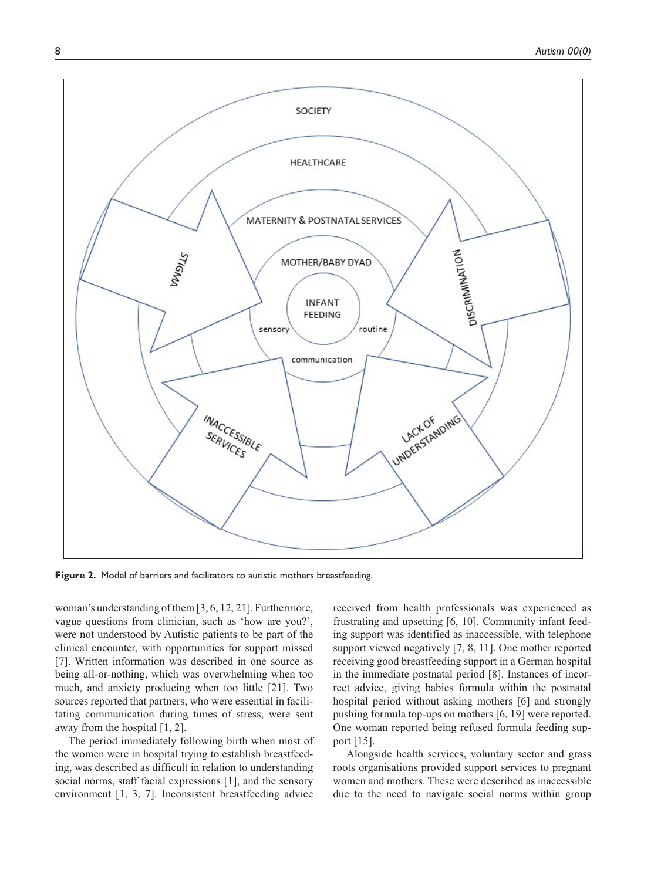

**Figure 2.** Model of barriers and facilitators to autistic mothers breastfeeding.

woman's understanding of them [3, 6, 12, 21]. Furthermore, vague questions from clinician, such as 'how are you?', were not understood by Autistic patients to be part of the clinical encounter, with opportunities for support missed [7]. Written information was described in one source as being all-or-nothing, which was overwhelming when too much, and anxiety producing when too little [21]. Two sources reported that partners, who were essential in facilitating communication during times of stress, were sent away from the hospital [1, 2].

The period immediately following birth when most of the women were in hospital trying to establish breastfeeding, was described as difficult in relation to understanding social norms, staff facial expressions [1], and the sensory environment [1, 3, 7]. Inconsistent breastfeeding advice

received from health professionals was experienced as frustrating and upsetting [6, 10]. Community infant feeding support was identified as inaccessible, with telephone support viewed negatively [7, 8, 11]. One mother reported receiving good breastfeeding support in a German hospital in the immediate postnatal period [8]. Instances of incorrect advice, giving babies formula within the postnatal hospital period without asking mothers [6] and strongly pushing formula top-ups on mothers [6, 19] were reported. One woman reported being refused formula feeding support [15].

Alongside health services, voluntary sector and grass roots organisations provided support services to pregnant women and mothers. These were described as inaccessible due to the need to navigate social norms within group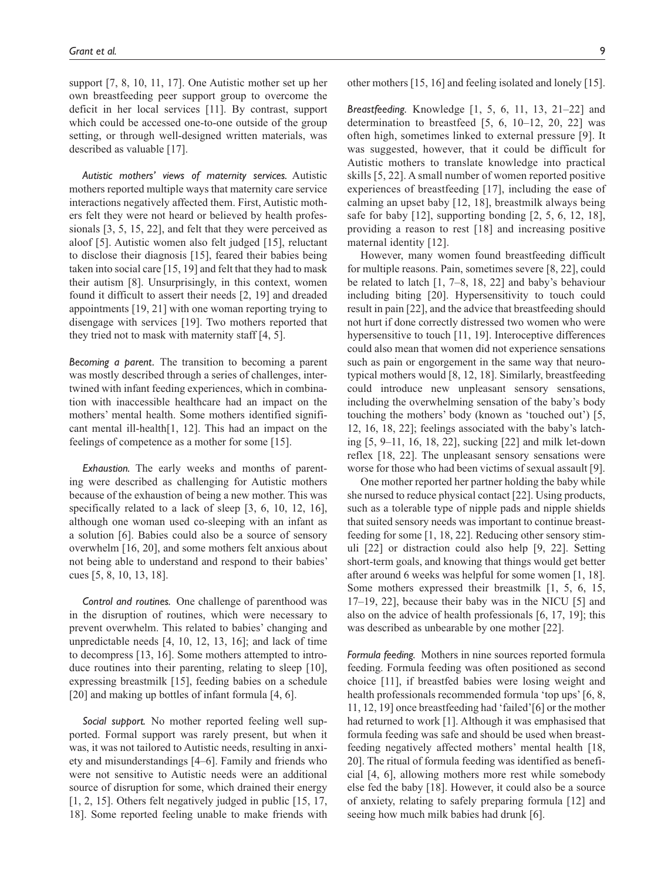support [7, 8, 10, 11, 17]. One Autistic mother set up her own breastfeeding peer support group to overcome the deficit in her local services [11]. By contrast, support which could be accessed one-to-one outside of the group setting, or through well-designed written materials, was described as valuable [17].

*Autistic mothers' views of maternity services.* Autistic mothers reported multiple ways that maternity care service interactions negatively affected them. First, Autistic mothers felt they were not heard or believed by health professionals [3, 5, 15, 22], and felt that they were perceived as aloof [5]. Autistic women also felt judged [15], reluctant to disclose their diagnosis [15], feared their babies being taken into social care [15, 19] and felt that they had to mask their autism [8]. Unsurprisingly, in this context, women found it difficult to assert their needs [2, 19] and dreaded appointments [19, 21] with one woman reporting trying to disengage with services [19]. Two mothers reported that they tried not to mask with maternity staff [4, 5].

*Becoming a parent.* The transition to becoming a parent was mostly described through a series of challenges, intertwined with infant feeding experiences, which in combination with inaccessible healthcare had an impact on the mothers' mental health. Some mothers identified significant mental ill-health[1, 12]. This had an impact on the feelings of competence as a mother for some [15].

*Exhaustion.* The early weeks and months of parenting were described as challenging for Autistic mothers because of the exhaustion of being a new mother. This was specifically related to a lack of sleep [3, 6, 10, 12, 16], although one woman used co-sleeping with an infant as a solution [6]. Babies could also be a source of sensory overwhelm [16, 20], and some mothers felt anxious about not being able to understand and respond to their babies' cues [5, 8, 10, 13, 18].

*Control and routines.* One challenge of parenthood was in the disruption of routines, which were necessary to prevent overwhelm. This related to babies' changing and unpredictable needs [4, 10, 12, 13, 16]; and lack of time to decompress [13, 16]. Some mothers attempted to introduce routines into their parenting, relating to sleep [10], expressing breastmilk [15], feeding babies on a schedule [20] and making up bottles of infant formula [4, 6].

*Social support.* No mother reported feeling well supported. Formal support was rarely present, but when it was, it was not tailored to Autistic needs, resulting in anxiety and misunderstandings [4–6]. Family and friends who were not sensitive to Autistic needs were an additional source of disruption for some, which drained their energy [1, 2, 15]. Others felt negatively judged in public [15, 17, 18]. Some reported feeling unable to make friends with other mothers [15, 16] and feeling isolated and lonely [15].

*Breastfeeding.* Knowledge [1, 5, 6, 11, 13, 21–22] and determination to breastfeed  $[5, 6, 10-12, 20, 22]$  was often high, sometimes linked to external pressure [9]. It was suggested, however, that it could be difficult for Autistic mothers to translate knowledge into practical skills [5, 22]. A small number of women reported positive experiences of breastfeeding [17], including the ease of calming an upset baby [12, 18], breastmilk always being safe for baby  $[12]$ , supporting bonding  $[2, 5, 6, 12, 18]$ , providing a reason to rest [18] and increasing positive maternal identity [12].

However, many women found breastfeeding difficult for multiple reasons. Pain, sometimes severe [8, 22], could be related to latch [1, 7–8, 18, 22] and baby's behaviour including biting [20]. Hypersensitivity to touch could result in pain [22], and the advice that breastfeeding should not hurt if done correctly distressed two women who were hypersensitive to touch [11, 19]. Interoceptive differences could also mean that women did not experience sensations such as pain or engorgement in the same way that neurotypical mothers would [8, 12, 18]. Similarly, breastfeeding could introduce new unpleasant sensory sensations, including the overwhelming sensation of the baby's body touching the mothers' body (known as 'touched out') [5, 12, 16, 18, 22]; feelings associated with the baby's latching [5, 9–11, 16, 18, 22], sucking [22] and milk let-down reflex [18, 22]. The unpleasant sensory sensations were worse for those who had been victims of sexual assault [9].

One mother reported her partner holding the baby while she nursed to reduce physical contact [22]. Using products, such as a tolerable type of nipple pads and nipple shields that suited sensory needs was important to continue breastfeeding for some [1, 18, 22]. Reducing other sensory stimuli [22] or distraction could also help [9, 22]. Setting short-term goals, and knowing that things would get better after around 6 weeks was helpful for some women [1, 18]. Some mothers expressed their breastmilk [1, 5, 6, 15, 17–19, 22], because their baby was in the NICU [5] and also on the advice of health professionals [6, 17, 19]; this was described as unbearable by one mother [22].

*Formula feeding.* Mothers in nine sources reported formula feeding. Formula feeding was often positioned as second choice [11], if breastfed babies were losing weight and health professionals recommended formula 'top ups' [6, 8, 11, 12, 19] once breastfeeding had 'failed'[6] or the mother had returned to work [1]. Although it was emphasised that formula feeding was safe and should be used when breastfeeding negatively affected mothers' mental health [18, 20]. The ritual of formula feeding was identified as beneficial [4, 6], allowing mothers more rest while somebody else fed the baby [18]. However, it could also be a source of anxiety, relating to safely preparing formula [12] and seeing how much milk babies had drunk [6].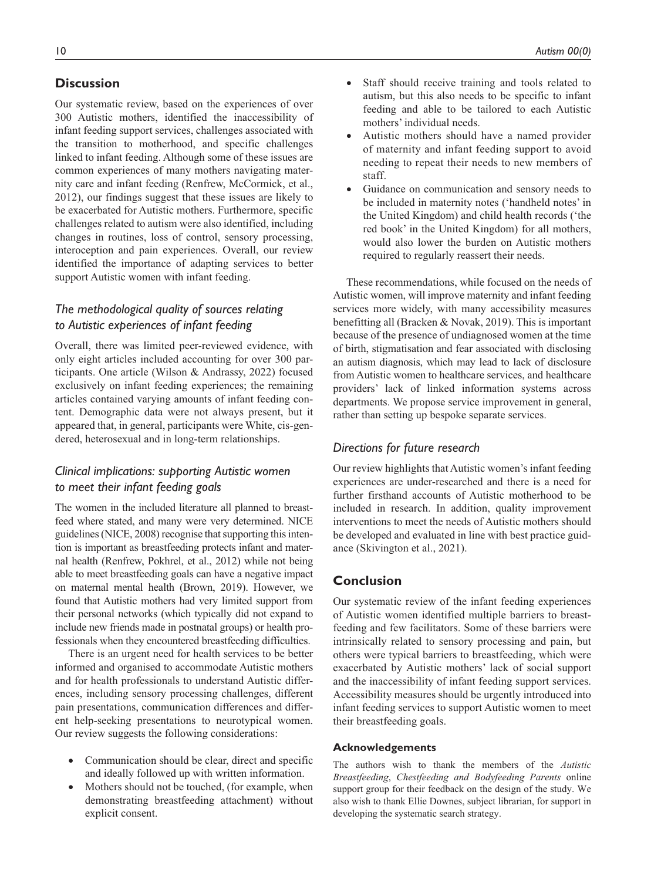# **Discussion**

Our systematic review, based on the experiences of over 300 Autistic mothers, identified the inaccessibility of infant feeding support services, challenges associated with the transition to motherhood, and specific challenges linked to infant feeding. Although some of these issues are common experiences of many mothers navigating maternity care and infant feeding (Renfrew, McCormick, et al., 2012), our findings suggest that these issues are likely to be exacerbated for Autistic mothers. Furthermore, specific challenges related to autism were also identified, including changes in routines, loss of control, sensory processing, interoception and pain experiences. Overall, our review identified the importance of adapting services to better support Autistic women with infant feeding.

## *The methodological quality of sources relating to Autistic experiences of infant feeding*

Overall, there was limited peer-reviewed evidence, with only eight articles included accounting for over 300 participants. One article (Wilson & Andrassy, 2022) focused exclusively on infant feeding experiences; the remaining articles contained varying amounts of infant feeding content. Demographic data were not always present, but it appeared that, in general, participants were White, cis-gendered, heterosexual and in long-term relationships.

# *Clinical implications: supporting Autistic women to meet their infant feeding goals*

The women in the included literature all planned to breastfeed where stated, and many were very determined. NICE guidelines (NICE, 2008) recognise that supporting this intention is important as breastfeeding protects infant and maternal health (Renfrew, Pokhrel, et al., 2012) while not being able to meet breastfeeding goals can have a negative impact on maternal mental health (Brown, 2019). However, we found that Autistic mothers had very limited support from their personal networks (which typically did not expand to include new friends made in postnatal groups) or health professionals when they encountered breastfeeding difficulties.

There is an urgent need for health services to be better informed and organised to accommodate Autistic mothers and for health professionals to understand Autistic differences, including sensory processing challenges, different pain presentations, communication differences and different help-seeking presentations to neurotypical women. Our review suggests the following considerations:

- Communication should be clear, direct and specific and ideally followed up with written information.
- Mothers should not be touched, (for example, when demonstrating breastfeeding attachment) without explicit consent.
- Staff should receive training and tools related to autism, but this also needs to be specific to infant feeding and able to be tailored to each Autistic mothers' individual needs.
- Autistic mothers should have a named provider of maternity and infant feeding support to avoid needing to repeat their needs to new members of staff.
- Guidance on communication and sensory needs to be included in maternity notes ('handheld notes' in the United Kingdom) and child health records ('the red book' in the United Kingdom) for all mothers, would also lower the burden on Autistic mothers required to regularly reassert their needs.

These recommendations, while focused on the needs of Autistic women, will improve maternity and infant feeding services more widely, with many accessibility measures benefitting all (Bracken & Novak, 2019). This is important because of the presence of undiagnosed women at the time of birth, stigmatisation and fear associated with disclosing an autism diagnosis, which may lead to lack of disclosure from Autistic women to healthcare services, and healthcare providers' lack of linked information systems across departments. We propose service improvement in general, rather than setting up bespoke separate services.

## *Directions for future research*

Our review highlights that Autistic women's infant feeding experiences are under-researched and there is a need for further firsthand accounts of Autistic motherhood to be included in research. In addition, quality improvement interventions to meet the needs of Autistic mothers should be developed and evaluated in line with best practice guidance (Skivington et al., 2021).

# **Conclusion**

Our systematic review of the infant feeding experiences of Autistic women identified multiple barriers to breastfeeding and few facilitators. Some of these barriers were intrinsically related to sensory processing and pain, but others were typical barriers to breastfeeding, which were exacerbated by Autistic mothers' lack of social support and the inaccessibility of infant feeding support services. Accessibility measures should be urgently introduced into infant feeding services to support Autistic women to meet their breastfeeding goals.

## **Acknowledgements**

The authors wish to thank the members of the *Autistic Breastfeeding*, *Chestfeeding and Bodyfeeding Parents* online support group for their feedback on the design of the study. We also wish to thank Ellie Downes, subject librarian, for support in developing the systematic search strategy.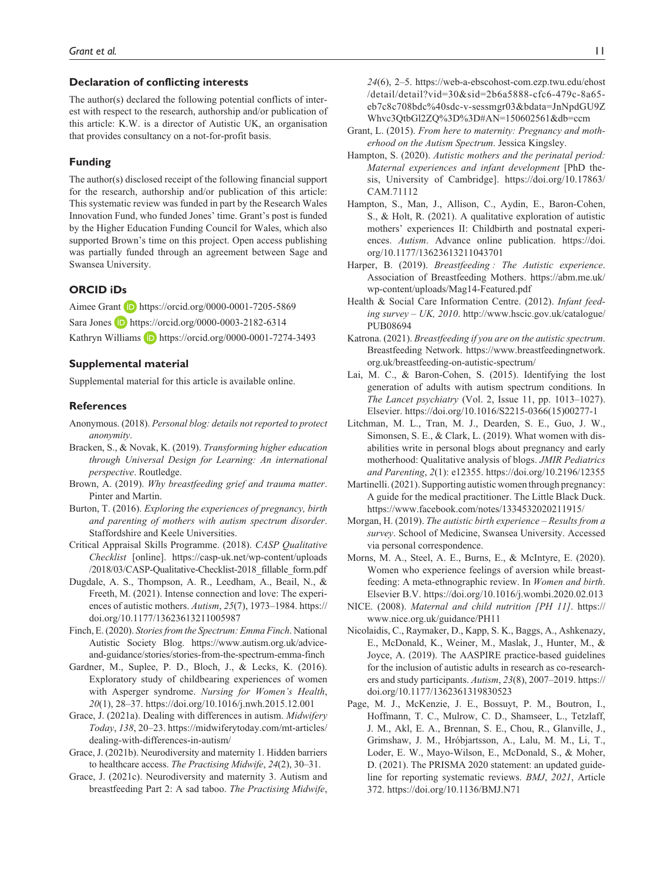#### **Declaration of conflicting interests**

The author(s) declared the following potential conflicts of interest with respect to the research, authorship and/or publication of this article: K.W. is a director of Autistic UK, an organisation that provides consultancy on a not-for-profit basis.

#### **Funding**

The author(s) disclosed receipt of the following financial support for the research, authorship and/or publication of this article: This systematic review was funded in part by the Research Wales Innovation Fund, who funded Jones' time. Grant's post is funded by the Higher Education Funding Council for Wales, which also supported Brown's time on this project. Open access publishing was partially funded through an agreement between Sage and Swansea University.

#### **ORCID iDs**

Aimee Grant **D** <https://orcid.org/0000-0001-7205-5869> Sara Jones **D** <https://orcid.org/0000-0003-2182-6314> Kathryn Williams **b** <https://orcid.org/0000-0001-7274-3493>

#### **Supplemental material**

Supplemental material for this article is available online.

#### **References**

- Anonymous. (2018). *Personal blog: details not reported to protect anonymity*.
- Bracken, S., & Novak, K. (2019). *Transforming higher education through Universal Design for Learning: An international perspective*. Routledge.
- Brown, A. (2019). *Why breastfeeding grief and trauma matter*. Pinter and Martin.
- Burton, T. (2016). *Exploring the experiences of pregnancy, birth and parenting of mothers with autism spectrum disorder*. Staffordshire and Keele Universities.
- Critical Appraisal Skills Programme. (2018). *CASP Qualitative Checklist* [online]. [https://casp-uk.net/wp-content/uploads](https://casp-uk.net/wp-content/uploads/2018/03/CASP-Qualitative-Checklist-2018_fillable_form.pdf) [/2018/03/CASP-Qualitative-Checklist-2018\\_fillable\\_form.pdf](https://casp-uk.net/wp-content/uploads/2018/03/CASP-Qualitative-Checklist-2018_fillable_form.pdf)
- Dugdale, A. S., Thompson, A. R., Leedham, A., Beail, N., & Freeth, M. (2021). Intense connection and love: The experiences of autistic mothers. *Autism*, *25*(7), 1973–1984. [https://](https://doi.org/10.1177/13623613211005987) [doi.org/10.1177/13623613211005987](https://doi.org/10.1177/13623613211005987)
- Finch, E. (2020). *Stories from the Spectrum: Emma Finch*. National Autistic Society Blog. [https://www.autism.org.uk/advice](https://www.autism.org.uk/advice-and-guidance/stories/stories-from-the-spectrum-emma-finch)[and-guidance/stories/stories-from-the-spectrum-emma-finch](https://www.autism.org.uk/advice-and-guidance/stories/stories-from-the-spectrum-emma-finch)
- Gardner, M., Suplee, P. D., Bloch, J., & Lecks, K. (2016). Exploratory study of childbearing experiences of women with Asperger syndrome. *Nursing for Women's Health*, *20*(1), 28–37.<https://doi.org/10.1016/j.nwh.2015.12.001>
- Grace, J. (2021a). Dealing with differences in autism. *Midwifery Today*, *138*, 20–23. [https://midwiferytoday.com/mt-articles/](https://midwiferytoday.com/mt-articles/dealing-with-differences-in-autism/) [dealing-with-differences-in-autism/](https://midwiferytoday.com/mt-articles/dealing-with-differences-in-autism/)
- Grace, J. (2021b). Neurodiversity and maternity 1. Hidden barriers to healthcare access. *The Practising Midwife*, *24*(2), 30–31.
- Grace, J. (2021c). Neurodiversity and maternity 3. Autism and breastfeeding Part 2: A sad taboo. *The Practising Midwife*,

*24*(6), 2–5. [https://web-a-ebscohost-com.ezp.twu.edu/ehost](https://web-a-ebscohost-com.ezp.twu.edu/ehost/detail/detail?vid=30&sid=2b6a5888-cfc6-479c-8a65-eb7c8c708bdc%40sdc-v-sessmgr03&bdata=JnNpdGU9ZWhvc3QtbGl2ZQ%3D%3D#AN=150602561&db=ccm) [/detail/detail?vid=30&sid=2b6a5888-cfc6-479c-8a65](https://web-a-ebscohost-com.ezp.twu.edu/ehost/detail/detail?vid=30&sid=2b6a5888-cfc6-479c-8a65-eb7c8c708bdc%40sdc-v-sessmgr03&bdata=JnNpdGU9ZWhvc3QtbGl2ZQ%3D%3D#AN=150602561&db=ccm) [eb7c8c708bdc%40sdc-v-sessmgr03&bdata=JnNpdGU9Z](https://web-a-ebscohost-com.ezp.twu.edu/ehost/detail/detail?vid=30&sid=2b6a5888-cfc6-479c-8a65-eb7c8c708bdc%40sdc-v-sessmgr03&bdata=JnNpdGU9ZWhvc3QtbGl2ZQ%3D%3D#AN=150602561&db=ccm) [Whvc3QtbGl2ZQ%3D%3D#AN=150602561&db=ccm](https://web-a-ebscohost-com.ezp.twu.edu/ehost/detail/detail?vid=30&sid=2b6a5888-cfc6-479c-8a65-eb7c8c708bdc%40sdc-v-sessmgr03&bdata=JnNpdGU9ZWhvc3QtbGl2ZQ%3D%3D#AN=150602561&db=ccm)

- Grant, L. (2015). *From here to maternity: Pregnancy and motherhood on the Autism Spectrum*. Jessica Kingsley.
- Hampton, S. (2020). *Autistic mothers and the perinatal period: Maternal experiences and infant development* [PhD thesis, University of Cambridge]. [https://doi.org/10.17863/](https://doi.org/10.17863/CAM.71112) [CAM.71112](https://doi.org/10.17863/CAM.71112)
- Hampton, S., Man, J., Allison, C., Aydin, E., Baron-Cohen, S., & Holt, R. (2021). A qualitative exploration of autistic mothers' experiences II: Childbirth and postnatal experiences. *Autism*. Advance online publication. [https://doi.](https://doi.org/10.1177/13623613211043701) [org/10.1177/13623613211043701](https://doi.org/10.1177/13623613211043701)
- Harper, B. (2019). *Breastfeeding : The Autistic experience*. Association of Breastfeeding Mothers. [https://abm.me.uk/](https://abm.me.uk/wp-content/uploads/Mag14-Featured.pdf) [wp-content/uploads/Mag14-Featured.pdf](https://abm.me.uk/wp-content/uploads/Mag14-Featured.pdf)
- Health & Social Care Information Centre. (2012). *Infant feeding survey – UK, 2010*. [http://www.hscic.gov.uk/catalogue/](http://www.hscic.gov.uk/catalogue/PUB08694) [PUB08694](http://www.hscic.gov.uk/catalogue/PUB08694)
- Katrona. (2021). *Breastfeeding if you are on the autistic spectrum*. Breastfeeding Network. [https://www.breastfeedingnetwork.](https://www.breastfeedingnetwork.org.uk/breastfeeding-on-autistic-spectrum/) [org.uk/breastfeeding-on-autistic-spectrum/](https://www.breastfeedingnetwork.org.uk/breastfeeding-on-autistic-spectrum/)
- Lai, M. C., & Baron-Cohen, S. (2015). Identifying the lost generation of adults with autism spectrum conditions. In *The Lancet psychiatry* (Vol. 2, Issue 11, pp. 1013–1027). Elsevier. [https://doi.org/10.1016/S2215-0366\(15\)00277-1](https://doi.org/10.1016/S2215-0366(15)00277-1)
- Litchman, M. L., Tran, M. J., Dearden, S. E., Guo, J. W., Simonsen, S. E., & Clark, L. (2019). What women with disabilities write in personal blogs about pregnancy and early motherhood: Qualitative analysis of blogs. *JMIR Pediatrics and Parenting*, *2*(1): e12355.<https://doi.org/10.2196/12355>
- Martinelli. (2021). Supporting autistic women through pregnancy: A guide for the medical practitioner. The Little Black Duck. <https://www.facebook.com/notes/1334532020211915/>
- Morgan, H. (2019). *The autistic birth experience Results from a survey*. School of Medicine, Swansea University. Accessed via personal correspondence.
- Morns, M. A., Steel, A. E., Burns, E., & McIntyre, E. (2020). Women who experience feelings of aversion while breastfeeding: A meta-ethnographic review. In *Women and birth*. Elsevier B.V.<https://doi.org/10.1016/j.wombi.2020.02.013>
- NICE. (2008). *Maternal and child nutrition [PH 11]*. [https://](https://www.nice.org.uk/guidance/PH11) [www.nice.org.uk/guidance/PH11](https://www.nice.org.uk/guidance/PH11)
- Nicolaidis, C., Raymaker, D., Kapp, S. K., Baggs, A., Ashkenazy, E., McDonald, K., Weiner, M., Maslak, J., Hunter, M., & Joyce, A. (2019). The AASPIRE practice-based guidelines for the inclusion of autistic adults in research as co-researchers and study participants. *Autism*, *23*(8), 2007–2019. [https://](https://doi.org/10.1177/1362361319830523) [doi.org/10.1177/1362361319830523](https://doi.org/10.1177/1362361319830523)
- Page, M. J., McKenzie, J. E., Bossuyt, P. M., Boutron, I., Hoffmann, T. C., Mulrow, C. D., Shamseer, L., Tetzlaff, J. M., Akl, E. A., Brennan, S. E., Chou, R., Glanville, J., Grimshaw, J. M., Hróbjartsson, A., Lalu, M. M., Li, T., Loder, E. W., Mayo-Wilson, E., McDonald, S., & Moher, D. (2021). The PRISMA 2020 statement: an updated guideline for reporting systematic reviews. *BMJ*, *2021*, Article 372.<https://doi.org/10.1136/BMJ.N71>